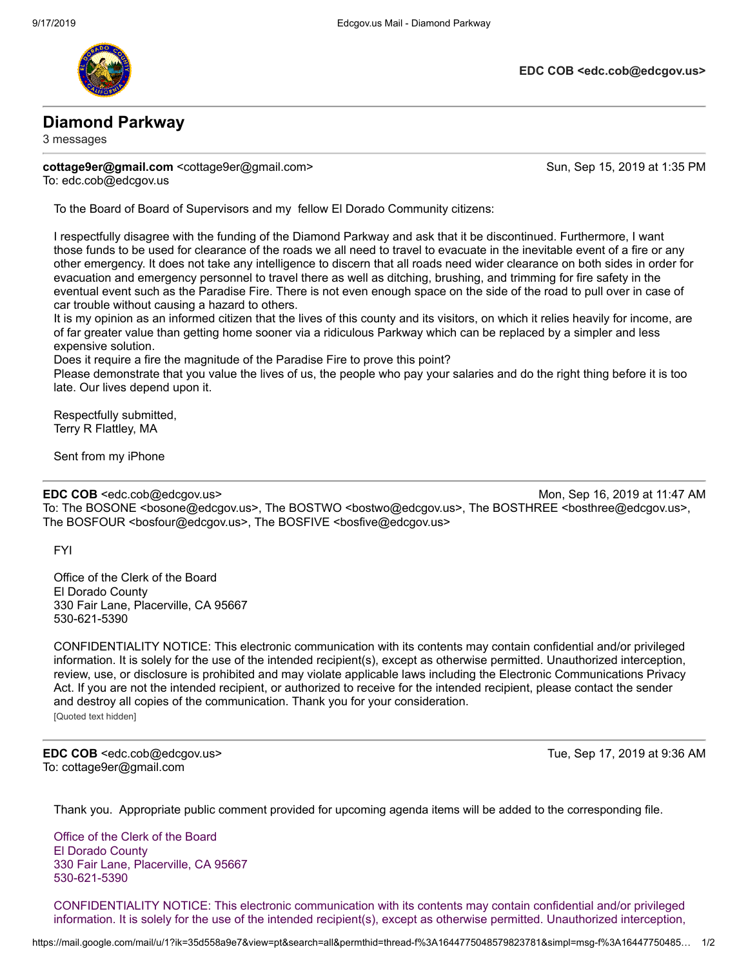

**EDC COB <edc.cob@edcgov.us>**

## **Diamond Parkway**

3 messages

**cottage9er@gmail.com** <cottage9er@gmail.com> Sun, Sep 15, 2019 at 1:35 PM

To: edc.cob@edcgov.us

To the Board of Board of Supervisors and my fellow El Dorado Community citizens:

I respectfully disagree with the funding of the Diamond Parkway and ask that it be discontinued. Furthermore, I want those funds to be used for clearance of the roads we all need to travel to evacuate in the inevitable event of a fire or any other emergency. It does not take any intelligence to discern that all roads need wider clearance on both sides in order for evacuation and emergency personnel to travel there as well as ditching, brushing, and trimming for fire safety in the eventual event such as the Paradise Fire. There is not even enough space on the side of the road to pull over in case of car trouble without causing a hazard to others.

It is my opinion as an informed citizen that the lives of this county and its visitors, on which it relies heavily for income, are of far greater value than getting home sooner via a ridiculous Parkway which can be replaced by a simpler and less expensive solution.

Does it require a fire the magnitude of the Paradise Fire to prove this point?

Please demonstrate that you value the lives of us, the people who pay your salaries and do the right thing before it is too late. Our lives depend upon it.

Respectfully submitted, Terry R Flattley, MA

Sent from my iPhone

**EDC COB** <edc.cob@edcgov.us> Mon, Sep 16, 2019 at 11:47 AM To: The BOSONE <bosone@edcgov.us>, The BOSTWO <br/>bostwo@edcgov.us>, The BOSTHREE <br/>bosthree@edcgov.us>, The BOSFOUR <bosfour@edcgov.us>, The BOSFIVE <br/>bosfive@edcgov.us>

FYI

Office of the Clerk of the Board El Dorado County 330 Fair Lane, Placerville, CA 95667 530-621-5390

CONFIDENTIALITY NOTICE: This electronic communication with its contents may contain confidential and/or privileged information. It is solely for the use of the intended recipient(s), except as otherwise permitted. Unauthorized interception, review, use, or disclosure is prohibited and may violate applicable laws including the Electronic Communications Privacy Act. If you are not the intended recipient, or authorized to receive for the intended recipient, please contact the sender and destroy all copies of the communication. Thank you for your consideration. [Quoted text hidden]

**EDC COB** <edc.cob@edcgov.us> Tue, Sep 17, 2019 at 9:36 AM To: cottage9er@gmail.com

Thank you. Appropriate public comment provided for upcoming agenda items will be added to the corresponding file.

Office of the Clerk of the Board El Dorado County 330 Fair Lane, Placerville, CA 95667 530-621-5390

CONFIDENTIALITY NOTICE: This electronic communication with its contents may contain confidential and/or privileged information. It is solely for the use of the intended recipient(s), except as otherwise permitted. Unauthorized interception,